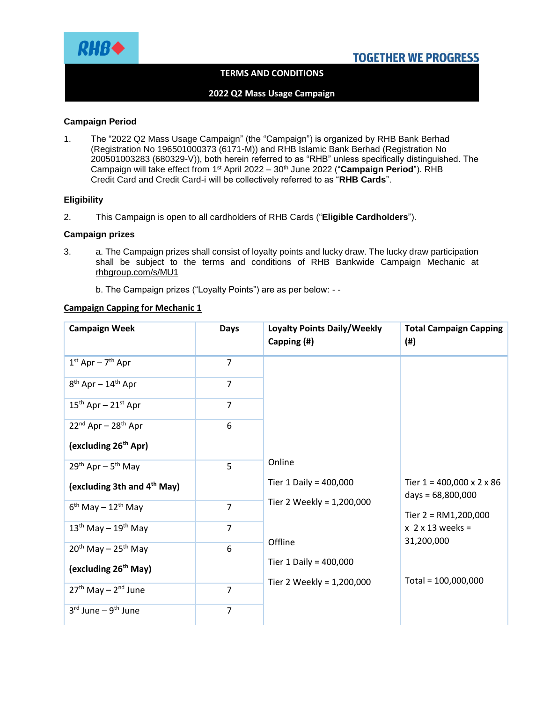

## **TERMS AND CONDITIONS**

## **2022 Q2 Mass Usage Campaign**

#### **Campaign Period**

1. The "2022 Q2 Mass Usage Campaign" (the "Campaign") is organized by RHB Bank Berhad (Registration No 196501000373 (6171-M)) and RHB Islamic Bank Berhad (Registration No 200501003283 (680329-V)), both herein referred to as "RHB" unless specifically distinguished. The Campaign will take effect from 1<sup>st</sup> April 2022 – 30<sup>th</sup> June 2022 ("**Campaign Period**"). RHB Credit Card and Credit Card-i will be collectively referred to as "**RHB Cards**".

#### **Eligibility**

2. This Campaign is open to all cardholders of RHB Cards ("**Eligible Cardholders**").

#### **Campaign prizes**

3. a. The Campaign prizes shall consist of loyalty points and lucky draw. The lucky draw participation shall be subject to the terms and conditions of RHB Bankwide Campaign Mechanic at rhbgroup.com/s/MU1

b. The Campaign prizes ("Loyalty Points") are as per below: - -

## **Campaign Capping for Mechanic 1**

| <b>Campaign Week</b>                       | <b>Days</b>    | <b>Loyalty Points Daily/Weekly</b><br>Capping (#) | <b>Total Campaign Capping</b><br>$($ #)                                                                                    |
|--------------------------------------------|----------------|---------------------------------------------------|----------------------------------------------------------------------------------------------------------------------------|
| $1st$ Apr - $7th$ Apr                      | $\overline{7}$ |                                                   |                                                                                                                            |
| 8 <sup>th</sup> Apr - 14 <sup>th</sup> Apr | $\overline{7}$ |                                                   |                                                                                                                            |
| $15^{th}$ Apr - $21^{st}$ Apr              | $\overline{7}$ |                                                   |                                                                                                                            |
| $22^{nd}$ Apr - $28^{th}$ Apr              | 6              |                                                   |                                                                                                                            |
| (excluding 26 <sup>th</sup> Apr)           |                |                                                   |                                                                                                                            |
| 29 <sup>th</sup> Apr - 5 <sup>th</sup> May | 5              | Online                                            | Tier $1 = 400,000 \times 2 \times 86$<br>days = 68,800,000<br>Tier $2 = RM1,200,000$<br>$x$ 2 $x$ 13 weeks =<br>31,200,000 |
| (excluding 3th and 4 <sup>th</sup> May)    |                | Tier 1 Daily = $400,000$                          |                                                                                                                            |
| $6^{th}$ May – 12 <sup>th</sup> May        | $\overline{7}$ | Tier 2 Weekly = 1,200,000<br>Offline              |                                                                                                                            |
| $13th$ May - $19th$ May                    | $\overline{7}$ |                                                   |                                                                                                                            |
| $20th$ May - 25 <sup>th</sup> May          | 6              |                                                   |                                                                                                                            |
| (excluding 26 <sup>th</sup> May)           |                | Tier 1 Daily = $400,000$                          | Total = 100,000,000                                                                                                        |
| $27th$ May – $2nd$ June                    | $\overline{7}$ | Tier 2 Weekly = 1,200,000                         |                                                                                                                            |
| $3rd$ June – $9th$ June                    | 7              |                                                   |                                                                                                                            |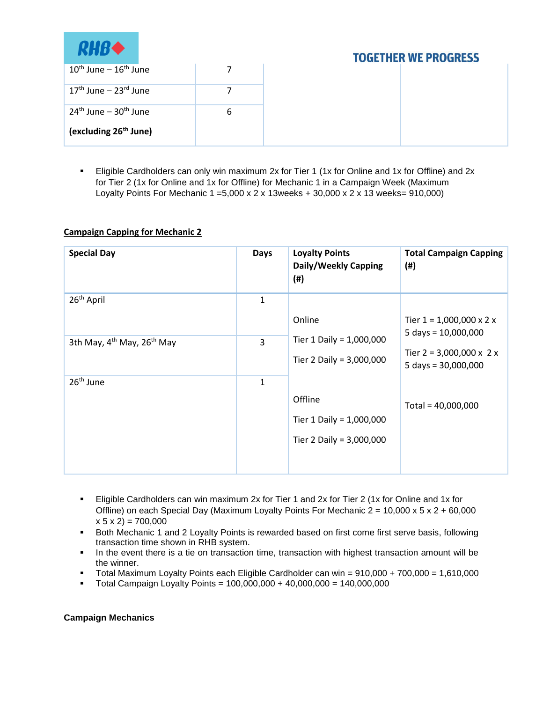

| $10^{\text{th}}$ June – $16^{\text{th}}$ June |  |
|-----------------------------------------------|--|
| $17th$ June – $23rd$ June                     |  |
| $24^{\text{th}}$ lune – $30^{\text{th}}$ lune |  |
| (excluding 26 <sup>th</sup> June)             |  |

 Eligible Cardholders can only win maximum 2x for Tier 1 (1x for Online and 1x for Offline) and 2x for Tier 2 (1x for Online and 1x for Offline) for Mechanic 1 in a Campaign Week (Maximum Loyalty Points For Mechanic 1 =5,000 x 2 x 13weeks + 30,000 x 2 x 13 weeks= 910,000)

## **Campaign Capping for Mechanic 2**

| <b>Special Day</b>                                 | <b>Days</b>  | <b>Loyalty Points</b><br>Daily/Weekly Capping<br>$(\#)$         | <b>Total Campaign Capping</b><br>$($ # $)$                    |
|----------------------------------------------------|--------------|-----------------------------------------------------------------|---------------------------------------------------------------|
| 26 <sup>th</sup> April                             | 1            | Online                                                          | Tier $1 = 1,000,000 \times 2 \times$<br>5 days = $10,000,000$ |
| 3th May, 4 <sup>th</sup> May, 26 <sup>th</sup> May | 3            | Tier 1 Daily = 1,000,000<br>Tier 2 Daily = 3,000,000            | Tier $2 = 3,000,000 \times 2 \times$<br>5 days = $30,000,000$ |
| $26th$ June                                        | $\mathbf{1}$ | Offline<br>Tier 1 Daily = 1,000,000<br>Tier 2 Daily = 3,000,000 | Total = $40,000,000$                                          |

- Eligible Cardholders can win maximum 2x for Tier 1 and 2x for Tier 2 (1x for Online and 1x for Offline) on each Special Day (Maximum Loyalty Points For Mechanic  $2 = 10,000 \times 5 \times 2 + 60,000$  $x 5 x 2$ ) = 700,000
- **Both Mechanic 1 and 2 Loyalty Points is rewarded based on first come first serve basis, following** transaction time shown in RHB system.
- In the event there is a tie on transaction time, transaction with highest transaction amount will be the winner.
- Total Maximum Loyalty Points each Eligible Cardholder can win = 910,000 + 700,000 = 1,610,000
- $\blacksquare$  Total Campaign Loyalty Points = 100,000,000 + 40,000,000 = 140,000,000

## **Campaign Mechanics**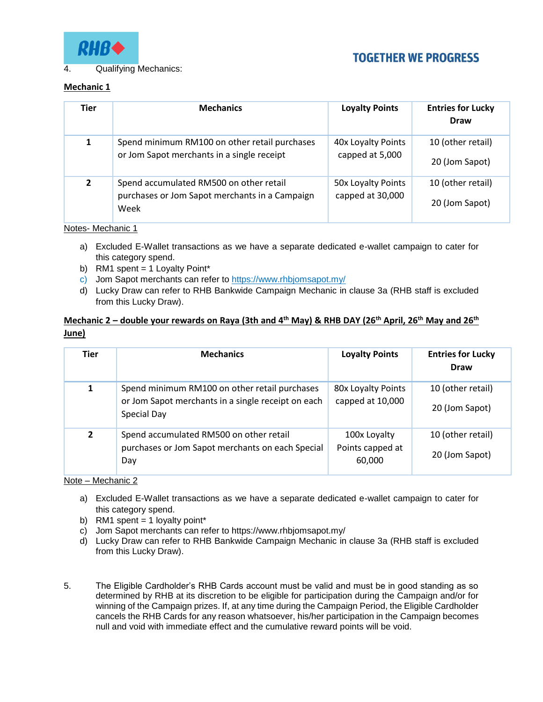

4. Qualifying Mechanics:

# **TOGETHER WE PROGRESS**

## **Mechanic 1**

| <b>Tier</b>  | <b>Mechanics</b>                                                                                  | <b>Loyalty Points</b>                  | <b>Entries for Lucky</b><br><b>Draw</b> |
|--------------|---------------------------------------------------------------------------------------------------|----------------------------------------|-----------------------------------------|
|              | Spend minimum RM100 on other retail purchases<br>or Jom Sapot merchants in a single receipt       | 40x Loyalty Points<br>capped at 5,000  | 10 (other retail)<br>20 (Jom Sapot)     |
| $\mathbf{2}$ | Spend accumulated RM500 on other retail<br>purchases or Jom Sapot merchants in a Campaign<br>Week | 50x Loyalty Points<br>capped at 30,000 | 10 (other retail)<br>20 (Jom Sapot)     |

Notes- Mechanic 1

- a) Excluded E-Wallet transactions as we have a separate dedicated e-wallet campaign to cater for this category spend.
- b) RM1 spent = 1 Loyalty Point\*
- c) Jom Sapot merchants can refer to https://www.rhbjomsapot.my/
- d) Lucky Draw can refer to RHB Bankwide Campaign Mechanic in clause 3a (RHB staff is excluded from this Lucky Draw).

## **Mechanic 2 – double your rewards on Raya (3th and 4th May) & RHB DAY (26th April, 26th May and 26th June)**

| <b>Tier</b>    | <b>Mechanics</b>                                                                                                   | <b>Loyalty Points</b>                      | <b>Entries for Lucky</b><br>Draw    |
|----------------|--------------------------------------------------------------------------------------------------------------------|--------------------------------------------|-------------------------------------|
| 1              | Spend minimum RM100 on other retail purchases<br>or Jom Sapot merchants in a single receipt on each<br>Special Day | 80x Loyalty Points<br>capped at 10,000     | 10 (other retail)<br>20 (Jom Sapot) |
| $\overline{2}$ | Spend accumulated RM500 on other retail<br>purchases or Jom Sapot merchants on each Special<br>Day                 | 100x Loyalty<br>Points capped at<br>60,000 | 10 (other retail)<br>20 (Jom Sapot) |

Note – Mechanic 2

- a) Excluded E-Wallet transactions as we have a separate dedicated e-wallet campaign to cater for this category spend.
- b) RM1 spent = 1 loyalty point\*
- c) Jom Sapot merchants can refer to https://www.rhbjomsapot.my/
- d) Lucky Draw can refer to RHB Bankwide Campaign Mechanic in clause 3a (RHB staff is excluded from this Lucky Draw).
- 5. The Eligible Cardholder's RHB Cards account must be valid and must be in good standing as so determined by RHB at its discretion to be eligible for participation during the Campaign and/or for winning of the Campaign prizes. If, at any time during the Campaign Period, the Eligible Cardholder cancels the RHB Cards for any reason whatsoever, his/her participation in the Campaign becomes null and void with immediate effect and the cumulative reward points will be void.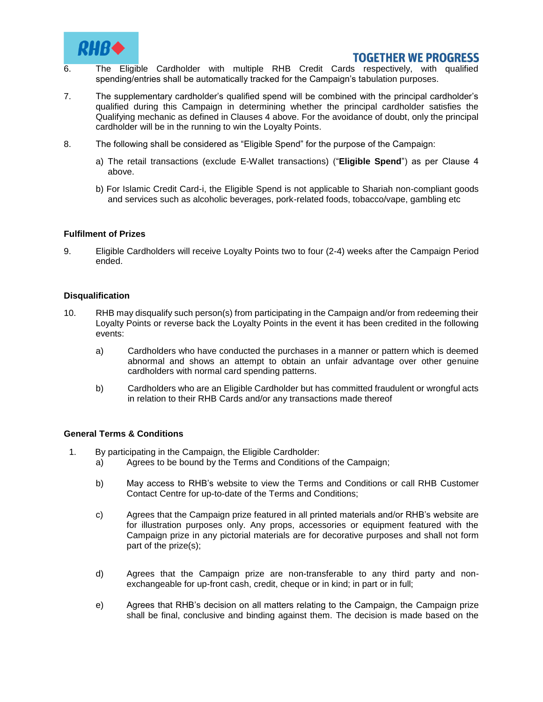

- 6. The Eligible Cardholder with multiple RHB Credit Cards respectively, with qualified spending/entries shall be automatically tracked for the Campaign's tabulation purposes.
- 7. The supplementary cardholder's qualified spend will be combined with the principal cardholder's qualified during this Campaign in determining whether the principal cardholder satisfies the Qualifying mechanic as defined in Clauses 4 above. For the avoidance of doubt, only the principal cardholder will be in the running to win the Loyalty Points.
- 8. The following shall be considered as "Eligible Spend" for the purpose of the Campaign:
	- a) The retail transactions (exclude E-Wallet transactions) ("**Eligible Spend**") as per Clause 4 above.
	- b) For Islamic Credit Card-i, the Eligible Spend is not applicable to Shariah non-compliant goods and services such as alcoholic beverages, pork-related foods, tobacco/vape, gambling etc

#### **Fulfilment of Prizes**

9. Eligible Cardholders will receive Loyalty Points two to four (2-4) weeks after the Campaign Period ended.

#### **Disqualification**

- 10. RHB may disqualify such person(s) from participating in the Campaign and/or from redeeming their Loyalty Points or reverse back the Loyalty Points in the event it has been credited in the following events:
	- a) Cardholders who have conducted the purchases in a manner or pattern which is deemed abnormal and shows an attempt to obtain an unfair advantage over other genuine cardholders with normal card spending patterns.
	- b) Cardholders who are an Eligible Cardholder but has committed fraudulent or wrongful acts in relation to their RHB Cards and/or any transactions made thereof

#### **General Terms & Conditions**

- 1. By participating in the Campaign, the Eligible Cardholder:
	- a) Agrees to be bound by the Terms and Conditions of the Campaign;
	- b) May access to RHB's website to view the Terms and Conditions or call RHB Customer Contact Centre for up-to-date of the Terms and Conditions;
	- c) Agrees that the Campaign prize featured in all printed materials and/or RHB's website are for illustration purposes only. Any props, accessories or equipment featured with the Campaign prize in any pictorial materials are for decorative purposes and shall not form part of the prize(s);
	- d) Agrees that the Campaign prize are non-transferable to any third party and nonexchangeable for up-front cash, credit, cheque or in kind; in part or in full;
	- e) Agrees that RHB's decision on all matters relating to the Campaign, the Campaign prize shall be final, conclusive and binding against them. The decision is made based on the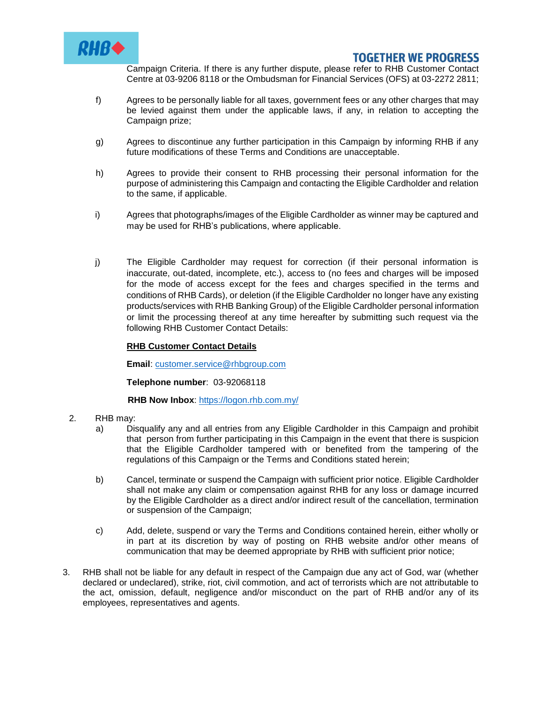

Campaign Criteria. If there is any further dispute, please refer to RHB Customer Contact Centre at 03-9206 8118 or the Ombudsman for Financial Services (OFS) at 03-2272 2811;

- f) Agrees to be personally liable for all taxes, government fees or any other charges that may be levied against them under the applicable laws, if any, in relation to accepting the Campaign prize;
- g) Agrees to discontinue any further participation in this Campaign by informing RHB if any future modifications of these Terms and Conditions are unacceptable.
- h) Agrees to provide their consent to RHB processing their personal information for the purpose of administering this Campaign and contacting the Eligible Cardholder and relation to the same, if applicable.
- i) Agrees that photographs/images of the Eligible Cardholder as winner may be captured and may be used for RHB's publications, where applicable.
- j) The Eligible Cardholder may request for correction (if their personal information is inaccurate, out-dated, incomplete, etc.), access to (no fees and charges will be imposed for the mode of access except for the fees and charges specified in the terms and conditions of RHB Cards), or deletion (if the Eligible Cardholder no longer have any existing products/services with RHB Banking Group) of the Eligible Cardholder personal information or limit the processing thereof at any time hereafter by submitting such request via the following RHB Customer Contact Details:

## **RHB Customer Contact Details**

**Email**: [customer.service@rhbgroup.com](mailto:customer.service@rhbgroup.com)

**Telephone number**: 03-92068118

**RHB Now Inbox**:<https://logon.rhb.com.my/>

- 2. RHB may:
	- a) Disqualify any and all entries from any Eligible Cardholder in this Campaign and prohibit that person from further participating in this Campaign in the event that there is suspicion that the Eligible Cardholder tampered with or benefited from the tampering of the regulations of this Campaign or the Terms and Conditions stated herein;
	- b) Cancel, terminate or suspend the Campaign with sufficient prior notice. Eligible Cardholder shall not make any claim or compensation against RHB for any loss or damage incurred by the Eligible Cardholder as a direct and/or indirect result of the cancellation, termination or suspension of the Campaign;
	- c) Add, delete, suspend or vary the Terms and Conditions contained herein, either wholly or in part at its discretion by way of posting on RHB website and/or other means of communication that may be deemed appropriate by RHB with sufficient prior notice;
- 3. RHB shall not be liable for any default in respect of the Campaign due any act of God, war (whether declared or undeclared), strike, riot, civil commotion, and act of terrorists which are not attributable to the act, omission, default, negligence and/or misconduct on the part of RHB and/or any of its employees, representatives and agents.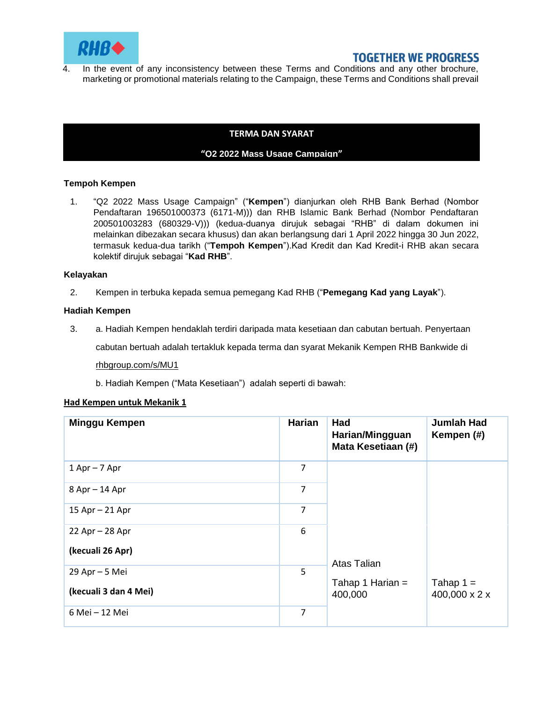

4. In the event of any inconsistency between these Terms and Conditions and any other brochure, marketing or promotional materials relating to the Campaign, these Terms and Conditions shall prevail

## **TERMA DAN SYARAT**

#### **"Q2 2022 Mass Usage Campaign"**

#### **Tempoh Kempen**

1. "Q2 2022 Mass Usage Campaign" ("**Kempen**") dianjurkan oleh RHB Bank Berhad (Nombor Pendaftaran 196501000373 (6171-M))) dan RHB Islamic Bank Berhad (Nombor Pendaftaran 200501003283 (680329-V))) (kedua-duanya dirujuk sebagai "RHB" di dalam dokumen ini melainkan dibezakan secara khusus) dan akan berlangsung dari 1 April 2022 hingga 30 Jun 2022, termasuk kedua-dua tarikh ("**Tempoh Kempen**").Kad Kredit dan Kad Kredit-i RHB akan secara kolektif dirujuk sebagai "**Kad RHB**".

#### **Kelayakan**

2. Kempen in terbuka kepada semua pemegang Kad RHB ("**Pemegang Kad yang Layak**").

#### **Hadiah Kempen**

3. a. Hadiah Kempen hendaklah terdiri daripada mata kesetiaan dan cabutan bertuah. Penyertaan

cabutan bertuah adalah tertakluk kepada terma dan syarat Mekanik Kempen RHB Bankwide di

rhbgroup.com/s/MU1

b. Hadiah Kempen ("Mata Kesetiaan") adalah seperti di bawah:

#### **Had Kempen untuk Mekanik 1**

| Minggu Kempen         | Harian | Had<br>Harian/Mingguan<br>Mata Kesetiaan (#) | <b>Jumlah Had</b><br>Kempen (#) |
|-----------------------|--------|----------------------------------------------|---------------------------------|
| $1$ Apr $-$ 7 Apr     | 7      |                                              |                                 |
| 8 Apr - 14 Apr        | 7      |                                              |                                 |
| $15$ Apr $- 21$ Apr   | 7      |                                              |                                 |
| 22 Apr - 28 Apr       | 6      |                                              |                                 |
| (kecuali 26 Apr)      |        | Atas Talian                                  |                                 |
| 29 Apr - 5 Mei        | 5      |                                              |                                 |
| (kecuali 3 dan 4 Mei) |        | Tahap 1 Harian =<br>400,000                  | Tahap $1 =$<br>400,000 x 2 x    |
| 6 Mei - 12 Mei        | 7      |                                              |                                 |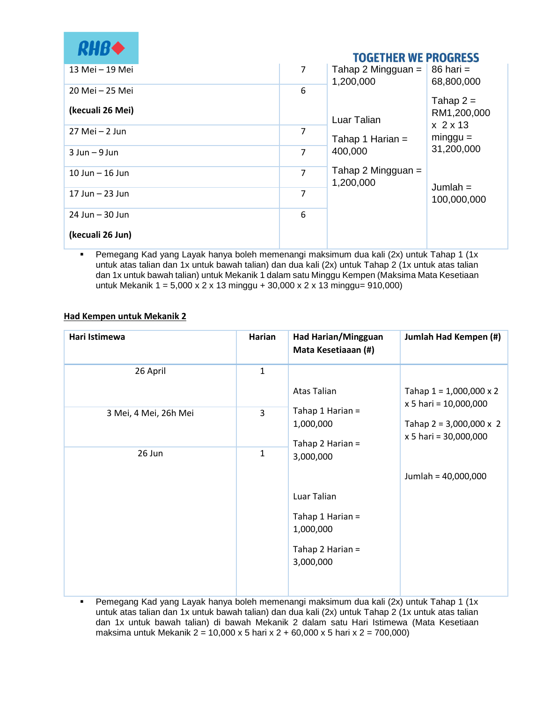| <b>RHBO</b>         |                | <b>TOGETHER WE PROGRESS</b>       |                                    |
|---------------------|----------------|-----------------------------------|------------------------------------|
| 13 Mei - 19 Mei     | $\overline{7}$ | Tahap 2 Mingguan $=$<br>1,200,000 | $86$ hari =<br>68,800,000          |
| 20 Mei - 25 Mei     | 6              |                                   | Tahap $2 =$                        |
| (kecuali 26 Mei)    |                | Luar Talian                       | RM1,200,000<br>x <sub>2</sub> x 13 |
| $27$ Mei $-2$ Jun   | 7              | Tahap 1 Harian =                  | $minggu =$                         |
| $3$ Jun $-9$ Jun    | 7              | 400,000                           | 31,200,000                         |
| $10$ Jun $-$ 16 Jun | 7              | Tahap 2 Mingguan $=$<br>1,200,000 | Jumlah $=$                         |
| $17$ Jun $-$ 23 Jun | 7              |                                   | 100,000,000                        |
| $24$ Jun $-30$ Jun  | 6              |                                   |                                    |
| (kecuali 26 Jun)    |                |                                   |                                    |

 Pemegang Kad yang Layak hanya boleh memenangi maksimum dua kali (2x) untuk Tahap 1 (1x untuk atas talian dan 1x untuk bawah talian) dan dua kali (2x) untuk Tahap 2 (1x untuk atas talian dan 1x untuk bawah talian) untuk Mekanik 1 dalam satu Minggu Kempen (Maksima Mata Kesetiaan untuk Mekanik 1 = 5,000 x 2 x 13 minggu + 30,000 x 2 x 13 minggu= 910,000)

## **Had Kempen untuk Mekanik 2**

| Hari Istimewa         | Harian       | Had Harian/Mingguan<br>Mata Kesetiaaan (#)                                                 | Jumlah Had Kempen (#)                                   |
|-----------------------|--------------|--------------------------------------------------------------------------------------------|---------------------------------------------------------|
| 26 April              | $\mathbf{1}$ | Atas Talian                                                                                | Tahap $1 = 1,000,000 \times 2$<br>x 5 hari = 10,000,000 |
| 3 Mei, 4 Mei, 26h Mei | 3            | Tahap 1 Harian =<br>1,000,000<br>Tahap 2 Harian =                                          | Tahap $2 = 3,000,000 \times 2$<br>x 5 hari = 30,000,000 |
| 26 Jun                | $\mathbf{1}$ | 3,000,000<br>Luar Talian<br>Tahap 1 Harian =<br>1,000,000<br>Tahap 2 Harian =<br>3,000,000 | Jumlah = 40,000,000                                     |

 Pemegang Kad yang Layak hanya boleh memenangi maksimum dua kali (2x) untuk Tahap 1 (1x untuk atas talian dan 1x untuk bawah talian) dan dua kali (2x) untuk Tahap 2 (1x untuk atas talian dan 1x untuk bawah talian) di bawah Mekanik 2 dalam satu Hari Istimewa (Mata Kesetiaan maksima untuk Mekanik 2 = 10,000 x 5 hari x 2 + 60,000 x 5 hari x 2 = 700,000)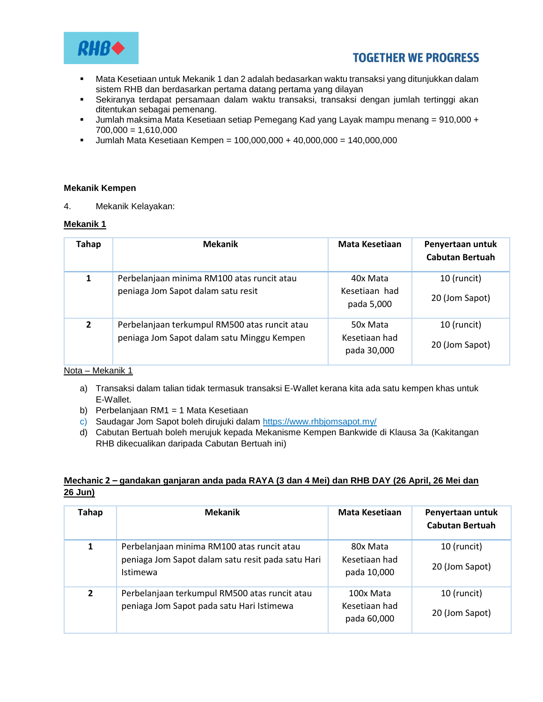

- Mata Kesetiaan untuk Mekanik 1 dan 2 adalah bedasarkan waktu transaksi yang ditunjukkan dalam sistem RHB dan berdasarkan pertama datang pertama yang dilayan
- Sekiranya terdapat persamaan dalam waktu transaksi, transaksi dengan jumlah tertinggi akan ditentukan sebagai pemenang.
- Jumlah maksima Mata Kesetiaan setiap Pemegang Kad yang Layak mampu menang = 910,000 +  $700,000 = 1,610,000$
- $-$  Jumlah Mata Kesetiaan Kempen = 100,000,000 + 40,000,000 = 140,000,000

#### **Mekanik Kempen**

4. Mekanik Kelayakan:

#### **Mekanik 1**

| Tahap          | <b>Mekanik</b>                                                                              | Mata Kesetiaan                           | Penyertaan untuk<br><b>Cabutan Bertuah</b> |
|----------------|---------------------------------------------------------------------------------------------|------------------------------------------|--------------------------------------------|
| 1              | Perbelanjaan minima RM100 atas runcit atau<br>peniaga Jom Sapot dalam satu resit            | 40x Mata<br>Kesetiaan had<br>pada 5,000  | 10 (runcit)<br>20 (Jom Sapot)              |
| $\overline{2}$ | Perbelanjaan terkumpul RM500 atas runcit atau<br>peniaga Jom Sapot dalam satu Minggu Kempen | 50x Mata<br>Kesetiaan had<br>pada 30,000 | 10 (runcit)<br>20 (Jom Sapot)              |

## Nota – Mekanik 1

- a) Transaksi dalam talian tidak termasuk transaksi E-Wallet kerana kita ada satu kempen khas untuk E-Wallet.
- b) Perbelanjaan RM1 = 1 Mata Kesetiaan
- c) Saudagar Jom Sapot boleh dirujuki dalam https://www.rhbjomsapot.my/
- d) Cabutan Bertuah boleh merujuk kepada Mekanisme Kempen Bankwide di Klausa 3a (Kakitangan RHB dikecualikan daripada Cabutan Bertuah ini)

## **Mechanic 2 – gandakan ganjaran anda pada RAYA (3 dan 4 Mei) dan RHB DAY (26 April, 26 Mei dan 26 Jun)**

| <b>Tahap</b>   | <b>Mekanik</b>                                                                                                     | Mata Kesetiaan                            | Penyertaan untuk<br><b>Cabutan Bertuah</b> |
|----------------|--------------------------------------------------------------------------------------------------------------------|-------------------------------------------|--------------------------------------------|
| 1              | Perbelanjaan minima RM100 atas runcit atau<br>peniaga Jom Sapot dalam satu resit pada satu Hari<br><b>Istimewa</b> | 80x Mata<br>Kesetiaan had<br>pada 10,000  | 10 (runcit)<br>20 (Jom Sapot)              |
| $\overline{2}$ | Perbelanjaan terkumpul RM500 atas runcit atau<br>peniaga Jom Sapot pada satu Hari Istimewa                         | 100x Mata<br>Kesetiaan had<br>pada 60,000 | 10 (runcit)<br>20 (Jom Sapot)              |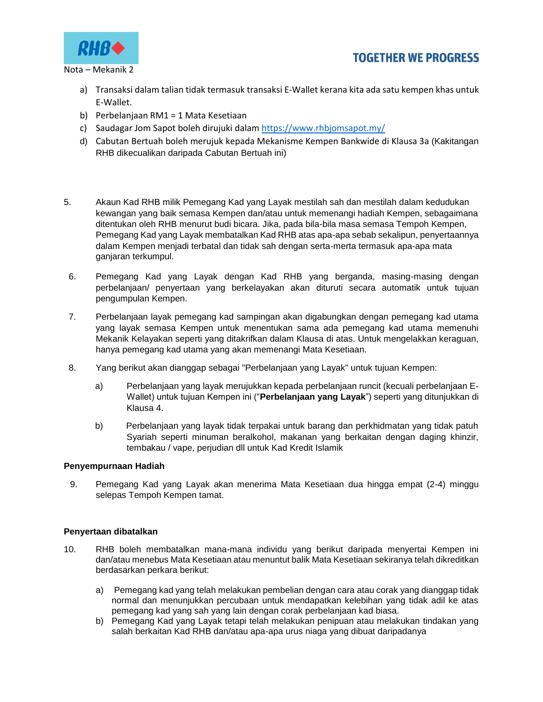



Nota – Mekanik 2

- a) Transaksi dalam talian tidak termasuk transaksi E-Wallet kerana kita ada satu kempen khas untuk E-Wallet.
- b) Perbelanjaan RM1 = 1 Mata Kesetiaan
- c) Saudagar Jom Sapot boleh dirujuki dalam<https://www.rhbjomsapot.my/>
- d) Cabutan Bertuah boleh merujuk kepada Mekanisme Kempen Bankwide di Klausa 3a (Kakitangan RHB dikecualikan daripada Cabutan Bertuah ini)
- 5. Akaun Kad RHB milik Pemegang Kad yang Layak mestilah sah dan mestilah dalam kedudukan kewangan yang baik semasa Kempen dan/atau untuk memenangi hadiah Kempen, sebagaimana ditentukan oleh RHB menurut budi bicara. Jika, pada bila-bila masa semasa Tempoh Kempen, Pemegang Kad yang Layak membatalkan Kad RHB atas apa-apa sebab sekalipun, penyertaannya dalam Kempen menjadi terbatal dan tidak sah dengan serta-merta termasuk apa-apa mata ganjaran terkumpul.
- 6. Pemegang Kad yang Layak dengan Kad RHB yang berganda, masing-masing dengan perbelanjaan/ penyertaan yang berkelayakan akan dituruti secara automatik untuk tujuan pengumpulan Kempen.
- 7. Perbelanjaan layak pemegang kad sampingan akan digabungkan dengan pemegang kad utama yang layak semasa Kempen untuk menentukan sama ada pemegang kad utama memenuhi Mekanik Kelayakan seperti yang ditakrifkan dalam Klausa di atas. Untuk mengelakkan keraguan, hanya pemegang kad utama yang akan memenangi Mata Kesetiaan.
- 8. Yang berikut akan dianggap sebagai "Perbelanjaan yang Layak" untuk tujuan Kempen:
	- a) Perbelanjaan yang layak merujukkan kepada perbelanjaan runcit (kecuali perbelanjaan E-Wallet) untuk tujuan Kempen ini ("**Perbelanjaan yang Layak**") seperti yang ditunjukkan di Klausa 4.
	- b) Perbelanjaan yang layak tidak terpakai untuk barang dan perkhidmatan yang tidak patuh Syariah seperti minuman beralkohol, makanan yang berkaitan dengan daging khinzir, tembakau / vape, perjudian dll untuk Kad Kredit Islamik

## **Penyempurnaan Hadiah**

9. Pemegang Kad yang Layak akan menerima Mata Kesetiaan dua hingga empat (2-4) minggu selepas Tempoh Kempen tamat.

## **Penyertaan dibatalkan**

- 10. RHB boleh membatalkan mana-mana individu yang berikut daripada menyertai Kempen ini dan/atau menebus Mata Kesetiaan atau menuntut balik Mata Kesetiaan sekiranya telah dikreditkan berdasarkan perkara berikut:
	- a) Pemegang kad yang telah melakukan pembelian dengan cara atau corak yang dianggap tidak normal dan menunjukkan percubaan untuk mendapatkan kelebihan yang tidak adil ke atas pemegang kad yang sah yang lain dengan corak perbelanjaan kad biasa.
	- b) Pemegang Kad yang Layak tetapi telah melakukan penipuan atau melakukan tindakan yang salah berkaitan Kad RHB dan/atau apa-apa urus niaga yang dibuat daripadanya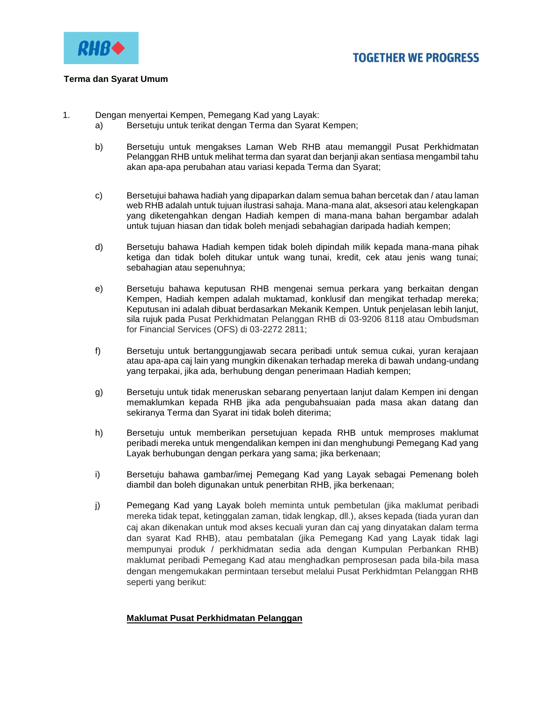

#### **Terma dan Syarat Umum**

- 1. Dengan menyertai Kempen, Pemegang Kad yang Layak:
	- a) Bersetuju untuk terikat dengan Terma dan Syarat Kempen;
	- b) Bersetuju untuk mengakses Laman Web RHB atau memanggil Pusat Perkhidmatan Pelanggan RHB untuk melihat terma dan syarat dan berjanji akan sentiasa mengambil tahu akan apa-apa perubahan atau variasi kepada Terma dan Syarat;
	- c) Bersetujui bahawa hadiah yang dipaparkan dalam semua bahan bercetak dan / atau laman web RHB adalah untuk tujuan ilustrasi sahaja. Mana-mana alat, aksesori atau kelengkapan yang diketengahkan dengan Hadiah kempen di mana-mana bahan bergambar adalah untuk tujuan hiasan dan tidak boleh menjadi sebahagian daripada hadiah kempen;
	- d) Bersetuju bahawa Hadiah kempen tidak boleh dipindah milik kepada mana-mana pihak ketiga dan tidak boleh ditukar untuk wang tunai, kredit, cek atau jenis wang tunai; sebahagian atau sepenuhnya;
	- e) Bersetuju bahawa keputusan RHB mengenai semua perkara yang berkaitan dengan Kempen, Hadiah kempen adalah muktamad, konklusif dan mengikat terhadap mereka; Keputusan ini adalah dibuat berdasarkan Mekanik Kempen. Untuk penjelasan lebih lanjut, sila rujuk pada Pusat Perkhidmatan Pelanggan RHB di 03-9206 8118 atau Ombudsman for Financial Services (OFS) di 03-2272 2811;
	- f) Bersetuju untuk bertanggungjawab secara peribadi untuk semua cukai, yuran kerajaan atau apa-apa caj lain yang mungkin dikenakan terhadap mereka di bawah undang-undang yang terpakai, jika ada, berhubung dengan penerimaan Hadiah kempen;
	- g) Bersetuju untuk tidak meneruskan sebarang penyertaan lanjut dalam Kempen ini dengan memaklumkan kepada RHB jika ada pengubahsuaian pada masa akan datang dan sekiranya Terma dan Syarat ini tidak boleh diterima;
	- h) Bersetuju untuk memberikan persetujuan kepada RHB untuk memproses maklumat peribadi mereka untuk mengendalikan kempen ini dan menghubungi Pemegang Kad yang Layak berhubungan dengan perkara yang sama; jika berkenaan;
	- i) Bersetuju bahawa gambar/imej Pemegang Kad yang Layak sebagai Pemenang boleh diambil dan boleh digunakan untuk penerbitan RHB, jika berkenaan;
	- j) Pemegang Kad yang Layak boleh meminta untuk pembetulan (jika maklumat peribadi mereka tidak tepat, ketinggalan zaman, tidak lengkap, dll.), akses kepada (tiada yuran dan caj akan dikenakan untuk mod akses kecuali yuran dan caj yang dinyatakan dalam terma dan syarat Kad RHB), atau pembatalan (jika Pemegang Kad yang Layak tidak lagi mempunyai produk / perkhidmatan sedia ada dengan Kumpulan Perbankan RHB) maklumat peribadi Pemegang Kad atau menghadkan pemprosesan pada bila-bila masa dengan mengemukakan permintaan tersebut melalui Pusat Perkhidmtan Pelanggan RHB seperti yang berikut:

## **Maklumat Pusat Perkhidmatan Pelanggan**